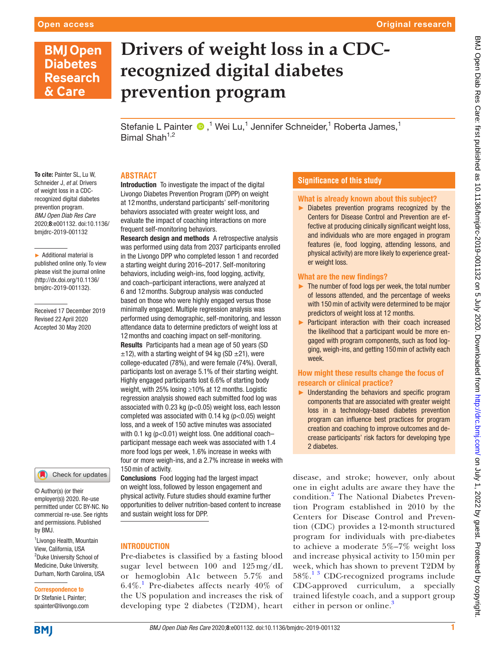# **BMJ Open Diabetes Research** & Care

# **Drivers of weight loss in a CDCrecognized digital diabetes prevention program**

Stefanie L Painter (D,<sup>1</sup> Wei Lu,<sup>1</sup> Jennifer Schneider,<sup>1</sup> Roberta James,<sup>1</sup> Bimal Shah $1,2$ 

# **Abstract**

To cite: Painter SL, Lu W, Schneider J, *et al*. Drivers of weight loss in a CDCrecognized digital diabetes prevention program. *BMJ Open Diab Res Care* 2020;8:e001132. doi:10.1136/ bmjdrc-2019-001132

► Additional material is published online only. To view please visit the journal online (http://dx.doi.org/10.1136/ bmjdrc-2019-001132).

Received 17 December 2019 Revised 22 April 2020 Accepted 30 May 2020

#### Check for updates

© Author(s) (or their employer(s)) 2020. Re-use permitted under CC BY-NC. No commercial re-use. See rights and permissions. Published by BMJ.

1 Livongo Health, Mountain View, California, USA <sup>2</sup>Duke University School of Medicine, Duke University, Durham, North Carolina, USA

# Correspondence to

Dr Stefanie L Painter; spainter@livongo.com

#### Introduction To investigate the impact of the digital Livongo Diabetes Prevention Program (DPP) on weight at 12months, understand participants' self-monitoring behaviors associated with greater weight loss, and evaluate the impact of coaching interactions on more frequent self-monitoring behaviors.

Research design and methods A retrospective analysis was performed using data from 2037 participants enrolled in the Livongo DPP who completed lesson 1 and recorded a starting weight during 2016–2017. Self-monitoring behaviors, including weigh-ins, food logging, activity, and coach–participant interactions, were analyzed at 6 and 12months. Subgroup analysis was conducted based on those who were highly engaged versus those minimally engaged. Multiple regression analysis was performed using demographic, self-monitoring, and lesson attendance data to determine predictors of weight loss at 12months and coaching impact on self-monitoring. Results Participants had a mean age of 50 years (SD  $\pm$ 12), with a starting weight of 94 kg (SD  $\pm$ 21), were college-educated (78%), and were female (74%). Overall, participants lost on average 5.1% of their starting weight. Highly engaged participants lost 6.6% of starting body weight, with 25% losing ≥10% at 12 months. Logistic regression analysis showed each submitted food log was associated with 0.23 kg (p<0.05) weight loss, each lesson completed was associated with  $0.14$  kg ( $p < 0.05$ ) weight loss, and a week of 150 active minutes was associated with 0.1 kg (p<0.01) weight loss. One additional coach– participant message each week was associated with 1.4 more food logs per week, 1.6% increase in weeks with four or more weigh-ins, and a 2.7% increase in weeks with 150min of activity.

Conclusions Food logging had the largest impact on weight loss, followed by lesson engagement and physical activity. Future studies should examine further opportunities to deliver nutrition-based content to increase and sustain weight loss for DPP.

# **INTRODUCTION**

Pre-diabetes is classified by a fasting blood sugar level between 100 and 125 mg/dL or hemoglobin A1c between 5.7% and 6.4%.<sup>[1](#page-7-0)</sup> Pre-diabetes affects nearly 40% of the US population and increases the risk of developing type 2 diabetes (T2DM), heart

# **Significance of this study**

# What is already known about this subject?

► Diabetes prevention programs recognized by the Centers for Disease Control and Prevention are effective at producing clinically significant weight loss, and individuals who are more engaged in program features (ie, food logging, attending lessons, and physical activity) are more likely to experience greater weight loss.

# What are the new findings?

- ► The number of food logs per week, the total number of lessons attended, and the percentage of weeks with 150 min of activity were determined to be major predictors of weight loss at 12 months.
- ► Participant interaction with their coach increased the likelihood that a participant would be more engaged with program components, such as food logging, weigh-ins, and getting 150min of activity each week.

# How might these results change the focus of research or clinical practice?

► Understanding the behaviors and specific program components that are associated with greater weight loss in a technology-based diabetes prevention program can influence best practices for program creation and coaching to improve outcomes and decrease participants' risk factors for developing type 2 diabetes.

disease, and stroke; however, only about one in eight adults are aware they have the condition.<sup>[2](#page-7-1)</sup> The National Diabetes Prevention Program established in 2010 by the Centers for Disease Control and Prevention (CDC) provides a 12-month structured program for individuals with pre-diabetes to achieve a moderate 5%–7% weight loss and increase physical activity to 150 min per week, which has shown to prevent T2DM by  $58\%$ .<sup>13</sup> CDC-recognized programs include CDC-approved curriculum, a specially trained lifestyle coach, and a support group either in person or online.<sup>[3](#page-7-2)</sup>

**BMI**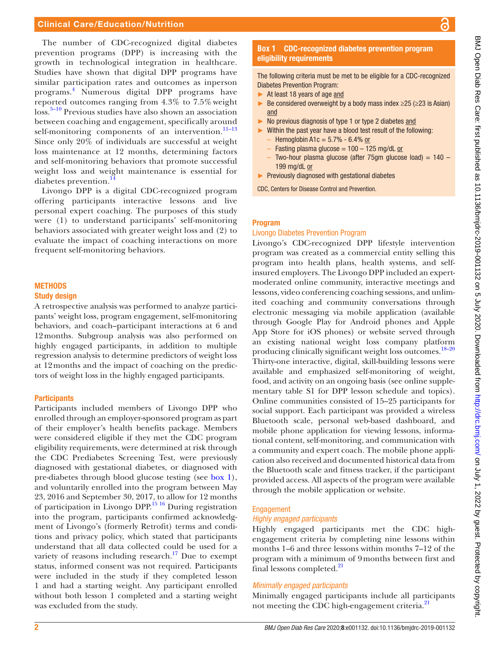#### Clinical Care/Education/Nutrition

The number of CDC-recognized digital diabetes prevention programs (DPP) is increasing with the growth in technological integration in healthcare. Studies have shown that digital DPP programs have similar participation rates and outcomes as inperson programs.[4](#page-7-3) Numerous digital DPP programs have reported outcomes ranging from 4.3% to 7.5% weight loss.[5–10](#page-7-4) Previous studies have also shown an association between coaching and engagement, specifically around self-monitoring components of an intervention. $11-13$ Since only 20% of individuals are successful at weight loss maintenance at 12 months, determining factors and self-monitoring behaviors that promote successful weight loss and weight maintenance is essential for diabetes prevention.[14](#page-7-6)

Livongo DPP is a digital CDC-recognized program offering participants interactive lessons and live personal expert coaching. The purposes of this study were (1) to understand participants' self-monitoring behaviors associated with greater weight loss and (2) to evaluate the impact of coaching interactions on more frequent self-monitoring behaviors.

# **METHODS**

#### Study design

A retrospective analysis was performed to analyze participants' weight loss, program engagement, self-monitoring behaviors, and coach–participant interactions at 6 and 12months. Subgroup analysis was also performed on highly engaged participants, in addition to multiple regression analysis to determine predictors of weight loss at 12months and the impact of coaching on the predictors of weight loss in the highly engaged participants.

#### **Participants**

Participants included members of Livongo DPP who enrolled through an employer-sponsored program as part of their employer's health benefits package. Members were considered eligible if they met the CDC program eligibility requirements, were determined at risk through the CDC Prediabetes Screening Test, were previously diagnosed with gestational diabetes, or diagnosed with pre-diabetes through blood glucose testing (see [box](#page-1-0) 1), and voluntarily enrolled into the program between May 23, 2016 and September 30, 2017, to allow for 12 months of participation in Livongo DPP.<sup>15 16</sup> During registration into the program, participants confirmed acknowledgment of Livongo's (formerly Retrofit) terms and conditions and privacy policy, which stated that participants understand that all data collected could be used for a variety of reasons including research.<sup>17</sup> Due to exempt status, informed consent was not required. Participants were included in the study if they completed lesson 1 and had a starting weight. Any participant enrolled without both lesson 1 completed and a starting weight was excluded from the study.

# **Box 1** CDC-recognized diabetes prevention program eligibility requirements

<span id="page-1-0"></span>The following criteria must be met to be eligible for a CDC-recognized Diabetes Prevention Program:

- ► At least 18 years of age and
- Exercise Be considered overweight by a body mass index  $\geq$  25 ( $\geq$  23 is Asian) and
- No previous diagnosis of type 1 or type 2 diabetes and
- ► Within the past year have a blood test result of the following:
	- $-$  Hemoglobin A1c = 5.7% 6.4% or
	- $-$  Fasting plasma glucose = 100 125 mg/dL or Two-hour plasma glucose (after 75gm glucose load) =  $140 -$ 199 mg/dL or
- ► Previously diagnosed with gestational diabetes
- CDC, Centers for Disease Control and Prevention.

#### Program

#### Livongo Diabetes Prevention Program

Livongo's CDC-recognized DPP lifestyle intervention program was created as a commercial entity selling this program into health plans, health systems, and selfinsured employers. The Livongo DPP included an expertmoderated online community, interactive meetings and lessons, video conferencing coaching sessions, and unlimited coaching and community conversations through electronic messaging via mobile application (available through Google Play for Android phones and Apple App Store for iOS phones) or website served through an existing national weight loss company platform producing clinically significant weight loss outcomes.<sup>18-20</sup> Thirty-one interactive, digital, skill-building lessons were available and emphasized self-monitoring of weight, food, and activity on an ongoing basis (see [online supple](https://dx.doi.org/10.1136/bmjdrc-2019-001132)[mentary table S1](https://dx.doi.org/10.1136/bmjdrc-2019-001132) for DPP lesson schedule and topics). Online communities consisted of 15–25 participants for social support. Each participant was provided a wireless Bluetooth scale, personal web-based dashboard, and mobile phone application for viewing lessons, informational content, self-monitoring, and communication with a community and expert coach. The mobile phone application also received and documented historical data from the Bluetooth scale and fitness tracker, if the participant provided access. All aspects of the program were available through the mobile application or website.

#### Engagement

#### *Highly engaged participants*

Highly engaged participants met the CDC highengagement criteria by completing nine lessons within months 1–6 and three lessons within months 7–12 of the program with a minimum of 9months between first and final lessons completed.<sup>[21](#page-7-10)</sup>

#### *Minimally engaged participants*

Minimally engaged participants include all participants not meeting the CDC high-engagement criteria.<sup>[21](#page-7-10)</sup>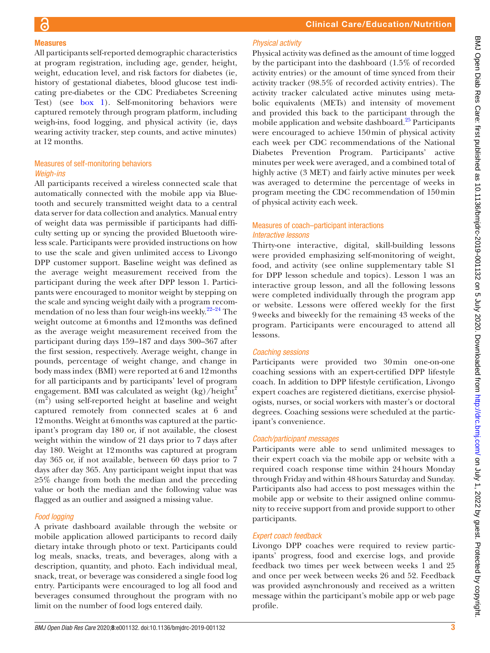# BMJ Open Diab Res Care: first published as 10.1136/bmjdrc-2019-001132 on 5 July 2020. Downloaded from http://drc.bmj.com/ on July 1, 2022 by guest. Protected by copyright. BMJ Open Diab Res Care: first published as 10.1136/bmjdrc-2019-001132 on 5 July 2020. Downloaded from <http://drc.bmj.com/> on July 1, 2022 by guest. Protected by copyright.

# Measures

All participants self-reported demographic characteristics at program registration, including age, gender, height, weight, education level, and risk factors for diabetes (ie, history of gestational diabetes, blood glucose test indicating pre-diabetes or the CDC Prediabetes Screening Test) (see [box](#page-1-0) 1). Self-monitoring behaviors were captured remotely through program platform, including weigh-ins, food logging, and physical activity (ie, days wearing activity tracker, step counts, and active minutes) at 12 months.

# Measures of self-monitoring behaviors *Weigh-ins*

All participants received a wireless connected scale that automatically connected with the mobile app via Bluetooth and securely transmitted weight data to a central data server for data collection and analytics. Manual entry of weight data was permissible if participants had difficulty setting up or syncing the provided Bluetooth wireless scale. Participants were provided instructions on how to use the scale and given unlimited access to Livongo DPP customer support. Baseline weight was defined as the average weight measurement received from the participant during the week after DPP lesson 1. Participants were encouraged to monitor weight by stepping on the scale and syncing weight daily with a program recommendation of no less than four weigh-ins weekly.<sup>22-24</sup> The weight outcome at 6months and 12months was defined as the average weight measurement received from the participant during days 159–187 and days 300–367 after the first session, respectively. Average weight, change in pounds, percentage of weight change, and change in body mass index (BMI) were reported at 6 and 12months for all participants and by participants' level of program engagement. BMI was calculated as weight  $(kg)/height^2$  $(m<sup>2</sup>)$  using self-reported height at baseline and weight captured remotely from connected scales at 6 and 12months. Weight at 6months was captured at the participant's program day 180 or, if not available, the closest weight within the window of 21 days prior to 7 days after day 180. Weight at 12months was captured at program day 365 or, if not available, between 60 days prior to 7 days after day 365. Any participant weight input that was ≥5% change from both the median and the preceding value or both the median and the following value was flagged as an outlier and assigned a missing value.

# *Food logging*

A private dashboard available through the website or mobile application allowed participants to record daily dietary intake through photo or text. Participants could log meals, snacks, treats, and beverages, along with a description, quantity, and photo. Each individual meal, snack, treat, or beverage was considered a single food log entry. Participants were encouraged to log all food and beverages consumed throughout the program with no limit on the number of food logs entered daily.

# *Physical activity*

Physical activity was defined as the amount of time logged by the participant into the dashboard (1.5% of recorded activity entries) or the amount of time synced from their activity tracker (98.5% of recorded activity entries). The activity tracker calculated active minutes using metabolic equivalents (METs) and intensity of movement and provided this back to the participant through the mobile application and website dashboard.<sup>[25](#page-7-12)</sup> Participants were encouraged to achieve 150min of physical activity each week per CDC recommendations of the National Diabetes Prevention Program. Participants' active minutes per week were averaged, and a combined total of highly active (3 MET) and fairly active minutes per week was averaged to determine the percentage of weeks in program meeting the CDC recommendation of 150min of physical activity each week.

# Measures of coach–participant interactions *Interactive lessons*

Thirty-one interactive, digital, skill-building lessons were provided emphasizing self-monitoring of weight, food, and activity (see [online supplementary table S1](https://dx.doi.org/10.1136/bmjdrc-2019-001132) for DPP lesson schedule and topics). Lesson 1 was an interactive group lesson, and all the following lessons were completed individually through the program app or website. Lessons were offered weekly for the first 9weeks and biweekly for the remaining 43 weeks of the program. Participants were encouraged to attend all lessons.

# *Coaching sessions*

Participants were provided two 30min one-on-one coaching sessions with an expert-certified DPP lifestyle coach. In addition to DPP lifestyle certification, Livongo expert coaches are registered dietitians, exercise physiologists, nurses, or social workers with master's or doctoral degrees. Coaching sessions were scheduled at the participant's convenience.

# *Coach/participant messages*

Participants were able to send unlimited messages to their expert coach via the mobile app or website with a required coach response time within 24hours Monday through Friday and within 48hours Saturday and Sunday. Participants also had access to post messages within the mobile app or website to their assigned online community to receive support from and provide support to other participants.

# *Expert coach feedback*

Livongo DPP coaches were required to review participants' progress, food and exercise logs, and provide feedback two times per week between weeks 1 and 25 and once per week between weeks 26 and 52. Feedback was provided asynchronously and received as a written message within the participant's mobile app or web page profile.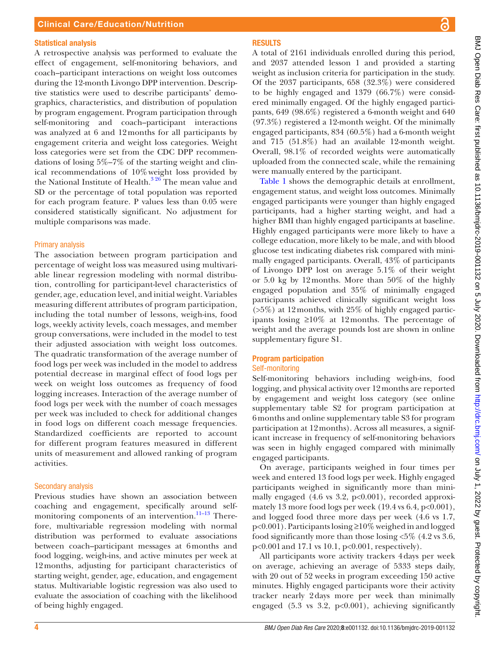#### Statistical analysis

A retrospective analysis was performed to evaluate the effect of engagement, self-monitoring behaviors, and coach–participant interactions on weight loss outcomes during the 12-month Livongo DPP intervention. Descriptive statistics were used to describe participants' demographics, characteristics, and distribution of population by program engagement. Program participation through self-monitoring and coach–participant interactions was analyzed at 6 and 12months for all participants by engagement criteria and weight loss categories. Weight loss categories were set from the CDC DPP recommendations of losing 5%–7% of the starting weight and clinical recommendations of 10%weight loss provided by the National Institute of Health.<sup>3 26</sup> The mean value and SD or the percentage of total population was reported for each program feature. P values less than 0.05 were considered statistically significant. No adjustment for multiple comparisons was made.

# Primary analysis

The association between program participation and percentage of weight loss was measured using multivariable linear regression modeling with normal distribution, controlling for participant-level characteristics of gender, age, education level, and initial weight. Variables measuring different attributes of program participation, including the total number of lessons, weigh-ins, food logs, weekly activity levels, coach messages, and member group conversations, were included in the model to test their adjusted association with weight loss outcomes. The quadratic transformation of the average number of food logs per week was included in the model to address potential decrease in marginal effect of food logs per week on weight loss outcomes as frequency of food logging increases. Interaction of the average number of food logs per week with the number of coach messages per week was included to check for additional changes in food logs on different coach message frequencies. Standardized coefficients are reported to account for different program features measured in different units of measurement and allowed ranking of program activities.

# Secondary analysis

Previous studies have shown an association between coaching and engagement, specifically around selfmonitoring components of an intervention.<sup>11-13</sup> Therefore, multivariable regression modeling with normal distribution was performed to evaluate associations between coach–participant messages at 6months and food logging, weigh-ins, and active minutes per week at 12months, adjusting for participant characteristics of starting weight, gender, age, education, and engagement status. Multivariable logistic regression was also used to evaluate the association of coaching with the likelihood of being highly engaged.

# **RESULTS**

A total of 2161 individuals enrolled during this period, and 2037 attended lesson 1 and provided a starting weight as inclusion criteria for participation in the study. Of the 2037 participants, 658 (32.3%) were considered to be highly engaged and 1379 (66.7%) were considered minimally engaged. Of the highly engaged participants, 649 (98.6%) registered a 6-month weight and 640 (97.3%) registered a 12-month weight. Of the minimally engaged participants, 834 (60.5%) had a 6-month weight and 715 (51.8%) had an available 12-month weight. Overall, 98.1% of recorded weights were automatically uploaded from the connected scale, while the remaining were manually entered by the participant.

[Table](#page-4-0) 1 shows the demographic details at enrollment, engagement status, and weight loss outcomes. Minimally engaged participants were younger than highly engaged participants, had a higher starting weight, and had a higher BMI than highly engaged participants at baseline. Highly engaged participants were more likely to have a college education, more likely to be male, and with blood glucose test indicating diabetes risk compared with minimally engaged participants. Overall, 43% of participants of Livongo DPP lost on average 5.1% of their weight or 5.0 kg by 12months. More than 50% of the highly engaged population and 35% of minimally engaged participants achieved clinically significant weight loss (>5%) at 12months, with 25% of highly engaged participants losing ≥10% at 12months. The percentage of weight and the average pounds lost are shown in [online](https://dx.doi.org/10.1136/bmjdrc-2019-001132) [supplementary figure S1](https://dx.doi.org/10.1136/bmjdrc-2019-001132).

# Program participation Self-monitoring

Self-monitoring behaviors including weigh-ins, food logging, and physical activity over 12months are reported by engagement and weight loss category (see [online](https://dx.doi.org/10.1136/bmjdrc-2019-001132) [supplementary table S2](https://dx.doi.org/10.1136/bmjdrc-2019-001132) for program participation at 6months and [online supplementary table S3](https://dx.doi.org/10.1136/bmjdrc-2019-001132) for program participation at 12months). Across all measures, a significant increase in frequency of self-monitoring behaviors was seen in highly engaged compared with minimally engaged participants.

On average, participants weighed in four times per week and entered 13 food logs per week. Highly engaged participants weighed in significantly more than minimally engaged  $(4.6 \text{ vs } 3.2, \text{ p} < 0.001)$ , recorded approximately 13 more food logs per week  $(19.4 \text{ vs } 6.4, \text{ p} < 0.001)$ , and logged food three more days per week (4.6 vs 1.7, p<0.001). Participants losing ≥10% weighed in and logged food significantly more than those losing <5% (4.2 vs 3.6, p<0.001and 17.1 vs 10.1, p<0.001, respectively).

All participants wore activity trackers 4days per week on average, achieving an average of 5333 steps daily, with 20 out of 52 weeks in program exceeding 150 active minutes. Highly engaged participants wore their activity tracker nearly 2days more per week than minimally engaged (5.3 vs 3.2, p<0.001), achieving significantly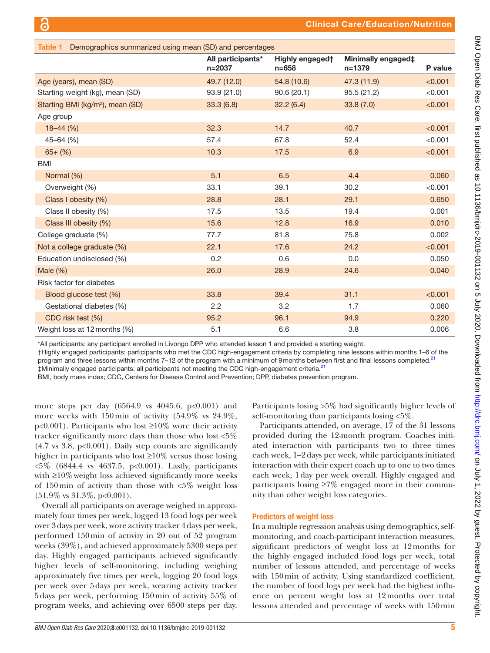<span id="page-4-0"></span>

| Table 1 Demographics summarized using mean (SD) and percentages |                                 |                              |                                  |         |
|-----------------------------------------------------------------|---------------------------------|------------------------------|----------------------------------|---------|
|                                                                 | All participants*<br>$n = 2037$ | Highly engaged†<br>$n = 658$ | Minimally engaged‡<br>$n = 1379$ | P value |
| Age (years), mean (SD)                                          | 49.7 (12.0)                     | 54.8 (10.6)                  | 47.3 (11.9)                      | < 0.001 |
| Starting weight (kg), mean (SD)                                 | 93.9(21.0)                      | 90.6(20.1)                   | 95.5(21.2)                       | < 0.001 |
| Starting BMI (kg/m <sup>2</sup> ), mean (SD)                    | 33.3(6.8)                       | 32.2(6.4)                    | 33.8(7.0)                        | < 0.001 |
| Age group                                                       |                                 |                              |                                  |         |
| $18 - 44$ (%)                                                   | 32.3                            | 14.7                         | 40.7                             | < 0.001 |
| $45 - 64$ (%)                                                   | 57.4                            | 67.8                         | 52.4                             | < 0.001 |
| $65+ (%)$                                                       | 10.3                            | 17.5                         | 6.9                              | < 0.001 |
| <b>BMI</b>                                                      |                                 |                              |                                  |         |
| Normal (%)                                                      | 5.1                             | 6.5                          | 4.4                              | 0.060   |
| Overweight (%)                                                  | 33.1                            | 39.1                         | 30.2                             | < 0.001 |
| Class I obesity (%)                                             | 28.8                            | 28.1                         | 29.1                             | 0.650   |
| Class II obesity (%)                                            | 17.5                            | 13.5                         | 19.4                             | 0.001   |
| Class III obesity (%)                                           | 15.6                            | 12.8                         | 16.9                             | 0.010   |
| College graduate (%)                                            | 77.7                            | 81.8                         | 75.8                             | 0.002   |
| Not a college graduate (%)                                      | 22.1                            | 17.6                         | 24.2                             | < 0.001 |
| Education undisclosed (%)                                       | 0.2                             | 0.6                          | 0.0                              | 0.050   |
| Male $(\%)$                                                     | 26.0                            | 28.9                         | 24.6                             | 0.040   |
| Risk factor for diabetes                                        |                                 |                              |                                  |         |
| Blood glucose test (%)                                          | 33.8                            | 39.4                         | 31.1                             | < 0.001 |
| Gestational diabetes (%)                                        | 2.2                             | 3.2                          | 1.7                              | 0.060   |
| CDC risk test (%)                                               | 95.2                            | 96.1                         | 94.9                             | 0.220   |
| Weight loss at 12 months (%)                                    | 5.1                             | 6.6                          | 3.8                              | 0.006   |

\*All participants*:* any participant enrolled in Livongo DPP who attended lesson 1 and provided a starting weight.

†Highly engaged participants: participants who met the CDC high-engagement criteria by completing nine lessons within months 1–6 of the program and three lessons within months 7–12 of the program with a minimum of 9 months between first and final lessons completed.<sup>[21](#page-7-10)</sup> ‡Minimally engaged participants: all participants not meeting the CDC high-engagement criteria.[21](#page-7-10)

BMI, body mass index; CDC, Centers for Disease Control and Prevention; DPP, diabetes prevention program.

more steps per day (6564.9 vs 4045.6, p<0.001) and more weeks with 150min of activity (54.9% vs 24.9%, p<0.001). Participants who lost ≥10% wore their activity tracker significantly more days than those who lost <5%  $(4.7 \text{ vs } 3.8, \text{ p<0.001}).$  Daily step counts are significantly higher in participants who lost ≥10% versus those losing <5% (6844.4 vs 4637.5, p<0.001). Lastly, participants with ≥10% weight loss achieved significantly more weeks of 150min of activity than those with <5% weight loss  $(51.9\% \text{ vs } 31.3\%, \text{ p} < 0.001).$ 

Overall all participants on average weighed in approximately four times per week, logged 13 food logs per week over 3days per week, wore activity tracker 4days per week, performed 150min of activity in 20 out of 52 program weeks (39%), and achieved approximately 5300 steps per day. Highly engaged participants achieved significantly higher levels of self-monitoring, including weighing approximately five times per week, logging 20 food logs per week over 5days per week, wearing activity tracker 5days per week, performing 150min of activity 55% of program weeks, and achieving over 6500 steps per day.

Participants losing >5% had significantly higher levels of self-monitoring than participants losing <5%.

Participants attended, on average, 17 of the 31 lessons provided during the 12-month program. Coaches initiated interaction with participants two to three times each week, 1–2days per week, while participants initiated interaction with their expert coach up to one to two times each week, 1day per week overall. Highly engaged and participants losing ≥7% engaged more in their community than other weight loss categories.

# Predictors of weight loss

In a multiple regression analysis using demographics, selfmonitoring, and coach-participant interaction measures, significant predictors of weight loss at 12months for the highly engaged included food logs per week, total number of lessons attended, and percentage of weeks with 150 min of activity. Using standardized coefficient, the number of food logs per week had the highest influence on percent weight loss at 12months over total lessons attended and percentage of weeks with 150min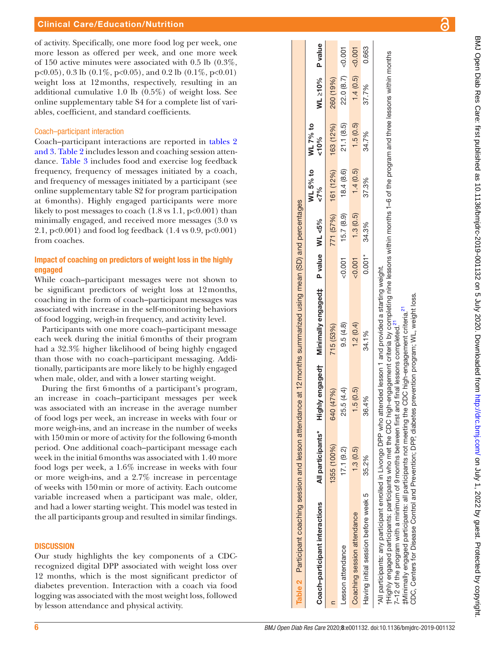of activity. Specifically, one more food log per week, one more lesson as offered per week, and one more week of 150 active minutes were associated with 0.5 lb (0.3%, p<0.05), 0.3 lb (0.1%, p<0.05), and 0.2 lb (0.1%, p<0.01) weight loss at 12months, respectively, resulting in an additional cumulative 1.0 lb (0.5%) of weight loss. See [online supplementary table S4](https://dx.doi.org/10.1136/bmjdrc-2019-001132) for a complete list of vari ables, coefficient, and standard coefficients.

#### Coach–participant interaction

Coach–participant interactions are reported in [tables](#page-5-0) 2 [and 3. Table](#page-5-0) 2 includes lesson and coaching session atten dance. [Table](#page-6-0) 3 includes food and exercise log feedback frequency, frequency of messages initiated by a coach, and frequency of messages initiated by a participant (see [online supplementary table S2](https://dx.doi.org/10.1136/bmjdrc-2019-001132) for program participation at 6months). Highly engaged participants were more likely to post messages to coach  $(1.8 \text{ vs } 1.1, \text{ p} < 0.001)$  than minimally engaged, and received more messages (3.0 vs 2.1,  $p<0.001$ ) and food log feedback (1.4 vs 0.9,  $p<0.001$ ) from coaches.

# Impact of coaching on predictors of weight loss in the highly engaged

While coach–participant messages were not shown to be significant predictors of weight loss at 12months, coaching in the form of coach–participant messages was associated with increase in the self-monitoring behaviors of food logging, weigh-in frequency, and activity level.

Participants with one more coach–participant message each week during the initial 6months of their program had a 32.3% higher likelihood of being highly engaged than those with no coach–participant messaging. Addi tionally, participants are more likely to be highly engaged when male, older, and with a lower starting weight.

During the first 6months of a participant's program, an increase in coach–participant messages per week was associated with an increase in the average number of food logs per week, an increase in weeks with four or more weigh-ins, and an increase in the number of weeks with 150 min or more of activity for the following 6-month period. One additional coach–participant message each week in the initial 6months was associated with 1.40 more food logs per week, a 1.6% increase in weeks with four or more weigh-ins, and a 2.7% increase in percentage of weeks with 150min or more of activity. Each outcome variable increased when a participant was male, older, and had a lower starting weight. This model was tested in the all participants group and resulted in similar findings.

# **DISCUSSION**

<span id="page-5-0"></span>Our study highlights the key components of a CDCrecognized digital DPP associated with weight loss over 12 months, which is the most significant predictor of diabetes prevention. Interaction with a coach via food logging was associated with the most weight loss, followed by lesson attendance and physical activity.

| Table 2 Participant coaching session and lesson attendance at 12 months summarized using mean (SD) and percentages                                                                                                                                                                             |                   |                     |                                                                                                                 |          |           |                             |                  |                  |        |
|------------------------------------------------------------------------------------------------------------------------------------------------------------------------------------------------------------------------------------------------------------------------------------------------|-------------------|---------------------|-----------------------------------------------------------------------------------------------------------------|----------|-----------|-----------------------------|------------------|------------------|--------|
| Coach-participant interactions                                                                                                                                                                                                                                                                 | All participants* |                     | Highly engaged† Minimally engaged‡ P value WL <5%                                                               |          |           | WL 5% to<br>50 <sup>6</sup> | WL 7% to<br>&00% | WL 210% P value  |        |
|                                                                                                                                                                                                                                                                                                | 1355 (100%)       | 640 (47%)           | 715 (53%)                                                                                                       |          | 771 (57%) | 161 (12%)                   | 163 (12%)        | 260 (19%)        |        |
| Lesson attendance                                                                                                                                                                                                                                                                              | 17.1(9.2)         | 25.5 (4.4)          | 9.5(4.8)                                                                                                        | &0.001   | 15.7(8.9) | 18.4(8.6)                   | 21.1(8.5)        | 22.0 (8.7)       | 500,00 |
| Coaching session attendance                                                                                                                                                                                                                                                                    | 1.3(0.5)          | (0.5)<br><u>ى ا</u> | 1.2(0.4)                                                                                                        | &0.001   | 1.3(0.5)  | 1.4(0.5)                    | 1.5(0.5)         | 1.4(0.5) < 0.001 |        |
| Having initial session before week 5                                                                                                                                                                                                                                                           | 35.2%             | 36.4%               | 34.1%                                                                                                           | $0.001*$ | 34.3%     | 37.3%                       | 34.7%            | 37.7%            | 0.663  |
| All participants: any participant enrolled in Livongo DPP who attended lesson 1 and provided a starting weight.<br>7-12 of the program with a minimum of 9 months between first and final lessons completed. <sup>27</sup><br>tHighly engaged participants: participants who met the CDC high- |                   |                     | engagement criteria by completing nine lessons within months 1–6 of the program and three lessons within months |          |           |                             |                  |                  |        |

7-12 of the program with a minimum of 9 months between first and final lessons completed.<sup>[21](#page-7-10)</sup>  $\pm$ Minimally engaged participants: all participants not meeting the CDC high-engagement criteria.<sup>[21](#page-7-10)</sup> CDC, Centers for Disease Control and Prevention; DPP, diabetes prevention program; WL, weight loss.

CDC, Centers for Disease Control and Prevention; DPP, diabetes prevention program; WL, weight loss. r in the second participants: all participants not meeting the CDC high-engagement criteria.<sup>21</sup><br>‡Minimally engaged participants: all participants not meeting the CDC high-engagement criteria.<sup>21</sup>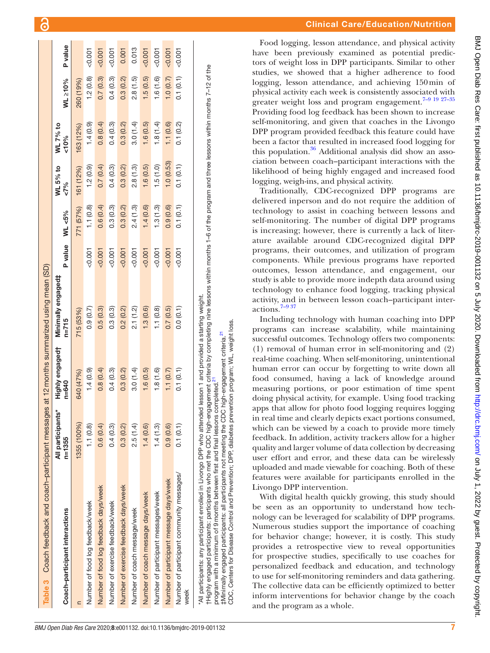| Table 3 Coach feedback and coach-participant messages |                                 |                              | at 12 months summarized using mean (SD) |         |           |                    |                    |           |                |
|-------------------------------------------------------|---------------------------------|------------------------------|-----------------------------------------|---------|-----------|--------------------|--------------------|-----------|----------------|
| Coach-participant interactions                        | All participants*<br>$n = 1355$ | Highly engagedt<br>$n = 640$ | Minimally engaged‡<br>$n = 715$         | P value | WL <5%    | WL 5% to<br>$87\%$ | WL 7% to<br>$00\%$ | WL ≥10%   | <b>P</b> value |
|                                                       | 1355 (100%)                     | 640 (47%)                    | 715 (53%)                               |         | 771 (57%) | 161 (12%)          | 163 (12%)          | 260 (19%) |                |
| Number of food log feedback/week                      | 1.1(0.8)                        | 1.4(0.9)                     | 0.9(0.7)                                | 0.001   | 1.1(0.8)  | 1.2(0.9)           | 1.4(0.9)           | 1.2(0.8)  | $-0.001$       |
| Number of food log feedback days/week                 | 0.6(0.4)                        | 0.8(0.4)                     | 0.5(0.3)                                | 0.001   | 0.6(0.4)  | 0.7(0.4)           | 0.8(0.4)           | 0.7(0.3)  | 0.001          |
| Number of exercise feedback/week                      | 0.4(0.3)                        | 0.4(0.3)                     | 0.3(0.3)                                | 5001    | 0.3(0.3)  | 0.4(0.3)           | 0.4(0.3)           | 0.4(0.3)  | 0.001          |
| Number of exercise feedback days/week                 | 0.3(0.2)                        | 0.3(0.2)                     | 0.2(0.2)                                | 0.001   | 0.3(0.2)  | 0.3(0.2)           | 0.3(0.2)           | 0.3(0.2)  | 0.001          |
| Number of coach message/week                          | 2.5(1.4)                        | 3.0(1.4)                     | 2.1(1.2)                                | 50.007  | 2.4(1.3)  | 2.8(1.3)           | 3.0(1.4)           | 2.8(1.5)  | 0.013          |
| Number of coach message days/week                     | 1.4(0.6)                        | 1.6(0.5)                     | 1.3(0.6)                                | 0.001   | 1.4(0.6)  | 1.6(0.5)           | 1.6(0.5)           | 1.5(0.5)  | 0.001          |
| Number of participant messages/week                   | 1.4(1.3)                        | 1.8(1.6)                     | 1.1(0.8)                                | 50.001  | 1.3(1.3)  | 1.5(1.0)           | 1.8(1.4)           | 1.6(1.6)  | 0.001          |
| Number of participant message days/week               | 0.9(0.6)                        | 1.1(0.7)                     | 0.7(0.5)                                | 50.007  | 0.9(0.6)  | 1.0(0.53)          | 1.1(0.6)           | 1.0(0.7)  | 50.001         |
| Number of participant community messages/<br>week     | 0.1(0.1)                        | 0.1(0.1)                     | 0.0(0.1)                                | 50.001  | 0.1(0.1)  | 0.1(0.1)           | 0.1(0.2)           | 0.1(0.1)  | 0.001          |

\*All participants: any participant enrolled in Livongo DPP who attended lesson 1 and provided a starting weight.

Livongo DPP who attended lesson 1 and provided a starting weight.

program with a minimum of 9 months between first and final lessons completed.<sup>[21](#page-7-10)</sup>

program with a minimum of 9 months between first and final participant enrolled in

tHighly engaged participants:

<span id="page-6-0"></span>'All participants: any

#Minimally engaged participants: all

Control

Disease

for

Centers

CDC.

participants who met the CDC

‡Minimally engaged participants: all participants not meeting the CDC high-engagement criteria.[21](#page-7-10) CDC, Centers for Disease Control and Prevention; DPP, diabetes prevention program; WL, weight loss.

participants not meeting

and Prevention; DPP, diabetes prevention program; WL, weight loss

†Highly engaged participants: participants who met the CDC high-engagement criteria by completing nine lessons within months 1–6 of the program and three lessons within months 7–12 of the

criteria.<sup>21</sup>

the CDC high-engagement lessons completed.

high-engagement criteria by completing nine lessons within months 1–6 of the program and three lessons within months 7–12 of the

Food logging, lesson attendance, and physical activity have been previously examined as potential predic tors of weight loss in DPP participants. Similar to other studies, we showed that a higher adherence to food logging, lesson attendance, and achieving 150min of physical activity each week is consistently associated with greater weight loss and program engagement.<sup>7-9 19 27-35</sup> Providing food log feedback has been shown to increase self-monitoring, and given that coaches in the Livongo DPP program provided feedback this feature could have been a factor that resulted in increased food logging for this population.<sup>36</sup> Additional analysis did show an association between coach–participant interactions with the likelihood of being highly engaged and increased food logging, weigh-ins, and physical activity.

Traditionally, CDC-recognized DPP programs are delivered inperson and do not require the addition of technology to assist in coaching between lessons and self-monitoring. The number of digital DPP programs is increasing; however, there is currently a lack of literature available around CDC-recognized digital DPP programs, their outcomes, and utilization of program components. While previous programs have reported outcomes, lesson attendance, and engagement, our study is able to provide more indepth data around using technology to enhance food logging, tracking physical activity, and in between lesson coach–participant interactions.[7–9 37](#page-7-13)

Including technology with human coaching into DPP programs can increase scalability, while maintaining successful outcomes. Technology offers two components: (1) removal of human error in self-monitoring and (2) real-time coaching. When self-monitoring, unintentional human error can occur by forgetting to write down all food consumed, having a lack of knowledge around measuring portions, or poor estimation of time spent doing physical activity, for example. Using food tracking apps that allow for photo food logging requires logging in real time and clearly depicts exact portions consumed, which can be viewed by a coach to provide more timely feedback. In addition, activity trackers allow for a higher quality and larger volume of data collection by decreasing user effort and error, and these data can be wirelessly uploaded and made viewable for coaching. Both of these features were available for participants enrolled in the Livongo DPP intervention.

With digital health quickly growing, this study should be seen as an opportunity to understand how tech nology can be leveraged for scalability of DPP programs. Numerous studies support the importance of coaching for behavior change; however, it is costly. This study provides a retrospective view to reveal opportunities for prospective studies, specifically to use coaches for personalized feedback and education, and technology to use for self-monitoring reminders and data gathering. The collective data can be efficiently optimized to better inform interventions for behavior change by the coach and the program as a whole.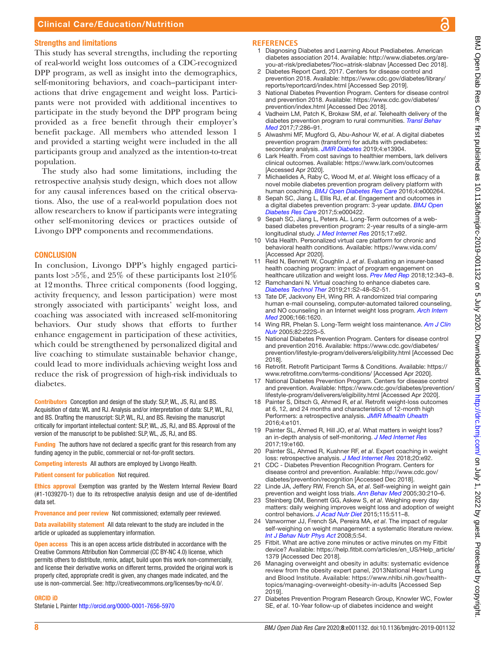# Clinical Care/Education/Nutrition

#### Strengths and limitations

This study has several strengths, including the reporting of real-world weight loss outcomes of a CDC-recognized DPP program, as well as insight into the demographics, self-monitoring behaviors, and coach–participant interactions that drive engagement and weight loss. Participants were not provided with additional incentives to participate in the study beyond the DPP program being provided as a free benefit through their employer's benefit package. All members who attended lesson 1 and provided a starting weight were included in the all participants group and analyzed as the intention-to-treat population.

The study also had some limitations, including the retrospective analysis study design, which does not allow for any causal inferences based on the critical observations. Also, the use of a real-world population does not allow researchers to know if participants were integrating other self-monitoring devices or practices outside of Livongo DPP components and recommendations.

#### **CONCLUSION**

In conclusion, Livongo DPP's highly engaged participants lost >5%, and 25% of these participants lost  $\geq 10\%$ at 12months. Three critical components (food logging, activity frequency, and lesson participation) were most strongly associated with participants' weight loss, and coaching was associated with increased self-monitoring behaviors. Our study shows that efforts to further enhance engagement in participation of these activities, which could be strengthened by personalized digital and live coaching to stimulate sustainable behavior change, could lead to more individuals achieving weight loss and reduce the risk of progression of high-risk individuals to diabetes.

Contributors Conception and design of the study: SLP, WL, JS, RJ, and BS. Acquisition of data: WL and RJ. Analysis and/or interpretation of data: SLP, WL, RJ, and BS. Drafting the manuscript: SLP, WL, RJ, and BS. Revising the manuscript critically for important intellectual content: SLP, WL, JS, RJ, and BS. Approval of the version of the manuscript to be published: SLP, WL, JS, RJ, and BS.

Funding The authors have not declared a specific grant for this research from any funding agency in the public, commercial or not-for-profit sectors.

Competing interests All authors are employed by Livongo Health.

Patient consent for publication Not required.

Ethics approval Exemption was granted by the Western Internal Review Board (#1-1039270-1) due to its retrospective analysis design and use of de-identified data set.

Provenance and peer review Not commissioned; externally peer reviewed.

Data availability statement All data relevant to the study are included in the article or uploaded as supplementary information.

Open access This is an open access article distributed in accordance with the Creative Commons Attribution Non Commercial (CC BY-NC 4.0) license, which permits others to distribute, remix, adapt, build upon this work non-commercially, and license their derivative works on different terms, provided the original work is properly cited, appropriate credit is given, any changes made indicated, and the use is non-commercial. See:<http://creativecommons.org/licenses/by-nc/4.0/>.

#### ORCID iD

Stefanie L Painter<http://orcid.org/0000-0001-7656-5970>

#### **References**

- <span id="page-7-0"></span>1 Diagnosing Diabetes and Learning About Prediabetes. American diabetes association 2014. Available: [http://www.diabetes.org/are](http://www.diabetes.org/are-you-at-risk/prediabetes/?loc=atrisk-slabnav)[you-at-risk/prediabetes/?loc=atrisk-slabnav](http://www.diabetes.org/are-you-at-risk/prediabetes/?loc=atrisk-slabnav) [Accessed Dec 2018].
- <span id="page-7-1"></span>Diabetes Report Card, 2017. Centers for disease control and prevention 2018. Available: [https://www.cdc.gov/diabetes/library/](https://www.cdc.gov/diabetes/library/reports/reportcard/index.html) [reports/reportcard/index.html](https://www.cdc.gov/diabetes/library/reports/reportcard/index.html) [Accessed Sep 2019].
- <span id="page-7-2"></span>3 National Diabetes Prevention Program. Centers for disease control and prevention 2018. Available: [https://www.cdc.gov/diabetes/](https://www.cdc.gov/diabetes/prevention/index.html) [prevention/index.html](https://www.cdc.gov/diabetes/prevention/index.html) [Accessed Dec 2018].
- <span id="page-7-3"></span>Vadheim LM, Patch K, Brokaw SM, et al. Telehealth delivery of the diabetes prevention program to rural communities. *[Transl Behav](http://dx.doi.org/10.1007/s13142-017-0496-y)  [Med](http://dx.doi.org/10.1007/s13142-017-0496-y)* 2017;7:286–91.
- <span id="page-7-4"></span>5 Alwashmi MF, Mugford G, Abu-Ashour W, *et al*. A digital diabetes prevention program (transform) for adults with prediabetes: secondary analysis. *[JMIR Diabetes](http://dx.doi.org/10.2196/13904)* 2019;4:e13904.
- Lark Health. From cost savings to healthier members, lark delivers clinical outcomes. Available: <https://www.lark.com/outcomes> [Accessed Apr 2020].
- <span id="page-7-13"></span>7 Michaelides A, Raby C, Wood M, *et al*. Weight loss efficacy of a novel mobile diabetes prevention program delivery platform with human coaching. *[BMJ Open Diabetes Res Care](http://dx.doi.org/10.1136/bmjdrc-2016-000264)* 2016;4:e000264.
- 8 Sepah SC, Jiang L, Ellis RJ, *et al*. Engagement and outcomes in a digital diabetes prevention program: 3-year update. *[BMJ Open](http://dx.doi.org/10.1136/bmjdrc-2017-000422)  [Diabetes Res Care](http://dx.doi.org/10.1136/bmjdrc-2017-000422)* 2017;5:e000422.
- 9 Sepah SC, Jiang L, Peters AL. Long-Term outcomes of a webbased diabetes prevention program: 2-year results of a single-arm longitudinal study. *[J Med Internet Res](http://dx.doi.org/10.2196/jmir.4052)* 2015;17:e92.
- 10 Vida Health. Personalized virtual care platform for chronic and behavioral health conditions. Available:<https://www.vida.com/> [Accessed Apr 2020].
- <span id="page-7-5"></span>11 Reid N, Bennett W, Coughlin J, *et al*. Evaluating an insurer-based health coaching program: impact of program engagement on healthcare utilization and weight loss. *[Prev Med Rep](http://dx.doi.org/10.1016/j.pmedr.2018.10.024)* 2018;12:343–8.
- 12 Ramchandani N. Virtual coaching to enhance diabetes care. *[Diabetes Technol Ther](http://dx.doi.org/10.1089/dia.2019.0016)* 2019;21:S2-48–S2-51.
- 13 Tate DF, Jackvony EH, Wing RR. A randomized trial comparing human e-mail counseling, computer-automated tailored counseling, and NO counseling in an Internet weight loss program. *[Arch Intern](http://dx.doi.org/10.1001/archinte.166.15.1620)  [Med](http://dx.doi.org/10.1001/archinte.166.15.1620)* 2006;166:1620.
- <span id="page-7-6"></span>14 Wing RR, Phelan S. Long-Term weight loss maintenance. *[Am J Clin](http://dx.doi.org/10.1093/ajcn/82.1.222S)  [Nutr](http://dx.doi.org/10.1093/ajcn/82.1.222S)* 2005;82:222S–5.
- <span id="page-7-7"></span>15 National Diabetes Prevention Program. Centers for disease control and prevention 2016. Available: [https://www.cdc.gov/diabetes/](https://www.cdc.gov/diabetes/prevention/lifestyle-program/deliverers/eligibility.html) [prevention/lifestyle-program/deliverers/eligibility.html](https://www.cdc.gov/diabetes/prevention/lifestyle-program/deliverers/eligibility.html) [Accessed Dec 2018].
- 16 Retrofit. Retrofit Participant Terms & Conditions. Available: [https://](https://www.retrofitme.com/terms-conditions/) [www.retrofitme.com/terms-conditions/](https://www.retrofitme.com/terms-conditions/) [Accessed Apr 2020].
- <span id="page-7-8"></span>17 National Diabetes Prevention Program. Centers for disease control and prevention. Available: [https://www.cdc.gov/diabetes/prevention/](https://www.cdc.gov/diabetes/prevention/lifestyle-program/deliverers/eligibility.html) [lifestyle-program/deliverers/eligibility.html](https://www.cdc.gov/diabetes/prevention/lifestyle-program/deliverers/eligibility.html) [Accessed Apr 2020].
- <span id="page-7-9"></span>18 Painter S, Ditsch G, Ahmed R, *et al*. Retrofit weight-loss outcomes at 6, 12, and 24 months and characteristics of 12-month high Performers: a retrospective analysis. *[JMIR Mhealth Uhealth](http://dx.doi.org/10.2196/mhealth.5873)* 2016;4:e101.
- 19 Painter SL, Ahmed R, Hill JO, *et al*. What matters in weight loss? an in-depth analysis of self-monitoring. *[J Med Internet Res](http://dx.doi.org/10.2196/jmir.7457)* 2017;19:e160.
- 20 Painter SL, Ahmed R, Kushner RF, *et al*. Expert coaching in weight loss: retrospective analysis. *[J Med Internet Res](http://dx.doi.org/10.2196/jmir.9738)* 2018;20:e92.
- <span id="page-7-10"></span>21 CDC - Diabetes Prevention Recognition Program. Centers for disease control and prevention. Available: [http://www.cdc.gov/](http://www.cdc.gov/diabetes/prevention/recognition) [diabetes/prevention/recognition](http://www.cdc.gov/diabetes/prevention/recognition) [Accessed Dec 2018].
- <span id="page-7-11"></span>22 Linde JA, Jeffery RW, French SA, *et al*. Self-weighing in weight gain prevention and weight loss trials. *[Ann Behav Med](http://dx.doi.org/10.1207/s15324796abm3003_5)* 2005;30:210–6.
- 23 Steinberg DM, Bennett GG, Askew S, *et al*. Weighing every day matters: daily weighing improves weight loss and adoption of weight control behaviors. *[J Acad Nutr Diet](http://dx.doi.org/10.1016/j.jand.2014.12.011)* 2015;115:511–8.
- 24 Vanwormer JJ, French SA, Pereira MA, *et al*. The impact of regular self-weighing on weight management: a systematic literature review. *[Int J Behav Nutr Phys Act](http://dx.doi.org/10.1186/1479-5868-5-54)* 2008;5:54.
- <span id="page-7-12"></span>25 Fitbit. What are active zone minutes or active minutes on my Fitbit device? Available: [https://help.fitbit.com/articles/en\\_US/Help\\_article/](https://help.fitbit.com/articles/en_US/Help_article/1379) [1379](https://help.fitbit.com/articles/en_US/Help_article/1379) [Accessed Dec 2018].
- 26 Managing overweight and obesity in adults: systematic evidence review from the obesity expert panel, 2013National Heart Lung and Blood Institute. Available: [https://www.nhlbi.nih.gov/health](https://www.nhlbi.nih.gov/health-topics/managing-overweight-obesity-in-adults)[topics/managing-overweight-obesity-in-adults](https://www.nhlbi.nih.gov/health-topics/managing-overweight-obesity-in-adults) [Accessed Sep 2019].
- 27 Diabetes Prevention Program Research Group, Knowler WC, Fowler SE, *et al*. 10-Year follow-up of diabetes incidence and weight